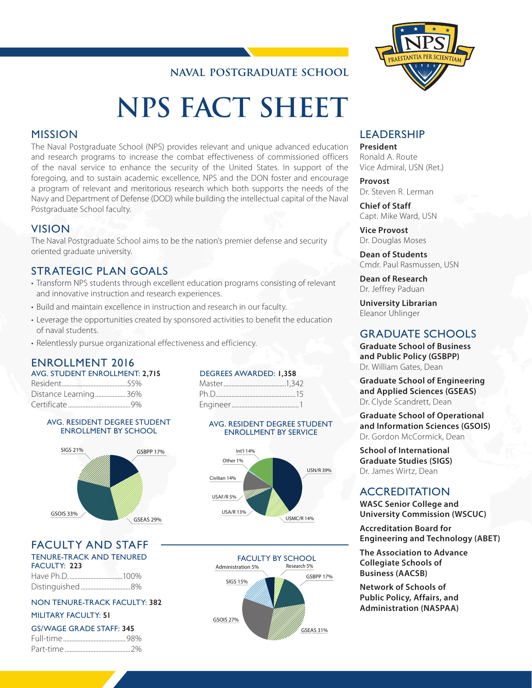# **NAVAL POSTGRADUATE SCHOOL**

# **NPS FACT SHEET**

# MISSION

The Naval Postgraduate School (NPS) provides relevant and unique advanced education and research programs to increase the combat effectiveness of commissioned officers of the naval service to enhance the security of the United States. In support of the foregoing, and to sustain academic excellence, NPS and the DON foster and encourage a program of relevant and meritorious research which both supports the needs of the Navy and Department of Defense (DOD) while building the intellectual capital of the Naval Postgraduate School faculty.

# VISION

The Naval Postgraduate School aims to be the nation's premier defense and security oriented graduate university.

# STRATEGIC PLAN GOALS

- Transform NPS students through excellent education programs consisting of relevant and innovative instruction and research experiences.
- Build and maintain excellence in instruction and research in our faculty.
- Leverage the opportunities created by sponsored activities to benefit the education of naval students.
- Relentlessly pursue organizational effectiveness and efficiency.

#### ENROLLMENT 2016 AVG. STUDENT ENROLLMENT: **2,715**

| AVU. JI UDLINI LINIVULLI ILINI. 4,4 |  |
|-------------------------------------|--|
|                                     |  |
| Distance Learning 36%               |  |
|                                     |  |

#### AVG. RESIDENT DEGREE STUDENT ENROLLMENT BY SCHOOL



# FACULTY AND STAFF

#### TENURE-TRACK AND TENURED FACULTY: **223**

| Distinguished8% |  |
|-----------------|--|

# NON TENURE-TRACK FACULTY: **382**

#### MILITARY FACULTY: **51**

|       |  | GS/WAGE GRADE STAFF: 345 |  |  |
|-------|--|--------------------------|--|--|
| $-11$ |  |                          |  |  |

#### DEGREES AWARDED: **1,358**

#### AVG. RESIDENT DEGREE STUDENT ENROLLMENT BY SERVICE







# LEADERSHIP

**President** Ronald A. Route Vice Admiral, USN (Ret.)

**Provost** Dr. Steven R. Lerman

#### **Chief of Staff** Capt. Mike Ward, USN

**Vice Provost** Dr. Douglas Moses

**Dean of Students** Cmdr. Paul Rasmussen, USN

**Dean of Research** Dr. Jeffrey Paduan

**University Librarian** Eleanor Uhlinger

# GRADUATE SCHOOLS

**Graduate School of Business and Public Policy (GSBPP)** Dr. William Gates, Dean

**Graduate School of Engineering and Applied Sciences (GSEAS)** Dr. Clyde Scandrett, Dean

**Graduate School of Operational and Information Sciences (GSOIS)** Dr. Gordon McCormick, Dean

**School of International Graduate Studies (SIGS)** Dr. James Wirtz, Dean

# **ACCREDITATION**

**WASC Senior College and University Commission (WSCUC)**

**Accreditation Board for Engineering and Technology (ABET)**

**The Association to Advance Collegiate Schools of Business (AACSB)**

**Network of Schools of Public Policy, Affairs, and Administration (NASPAA)**